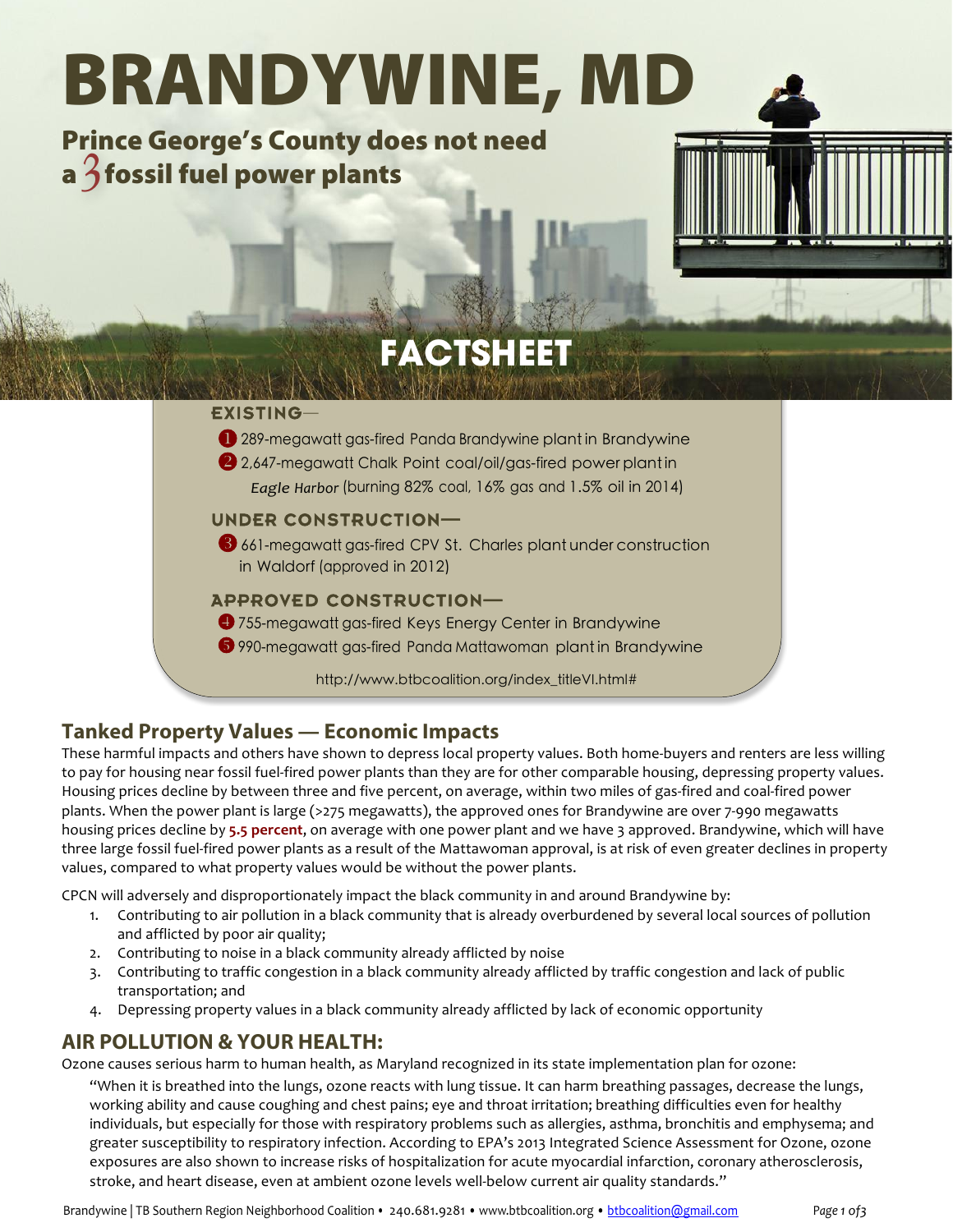# BRANDYWINE, MD

Prince George's County does not need Prince deorge  $s$  County do<br>a  $\beta$  fossil fuel power plants



## **Tanked Property Values — Economic Impacts**

These harmful impacts and others have shown to depress local property values. Both home-buyers and renters are less willing to pay for housing near fossil fuel-fired power plants than they are for other comparable housing, depressing property values. Housing prices decline by between three and five percent, on average, within two miles of gas-fired and coal-fired power plants. When the power plant is large (>275 megawatts), the approved ones for Brandywine are over 7-990 megawatts housing prices decline by 5.5 percent, on average with one power plant and we have 3 approved. Brandywine, which will have three large fossil fuel-fired power plants as a result of the Mattawoman approval, is at risk of even greater declines in property values, compared to what property values would be without the power plants.

CPCN will adversely and disproportionately impact the black community in and around Brandywine by:

- 1. Contributing to air pollution in a black community that is already overburdened by several local sources of pollution and afflicted by poor air quality;
- 2. Contributing to noise in a black community already afflicted by noise
- 3. Contributing to traffic congestion in a black community already afflicted by traffic congestion and lack of public transportation; and
- 4. Depressing property values in a black community already afflicted by lack of economic opportunity

## **AIR POLLUTION & YOUR HEALTH:**

Ozone causes serious harm to human health, as Maryland recognized in its state implementation plan for ozone:

"When it is breathed into the lungs, ozone reacts with lung tissue. It can harm breathing passages, decrease the lungs, working ability and cause coughing and chest pains; eye and throat irritation; breathing difficulties even for healthy individuals, but especially for those with respiratory problems such as allergies, asthma, bronchitis and emphysema; and greater susceptibility to respiratory infection. According to EPA's 2013 Integrated Science Assessment for Ozone, ozone exposures are also shown to increase risks of hospitalization for acute myocardial infarction, coronary atherosclerosis, stroke, and heart disease, even at ambient ozone levels well-below current air quality standards."

Brandywine | TB Southern Region Neighborhood Coalition • 240.681.9281 • www.btbcoalition.org • btbcoalition@gmail.com Page 1 of3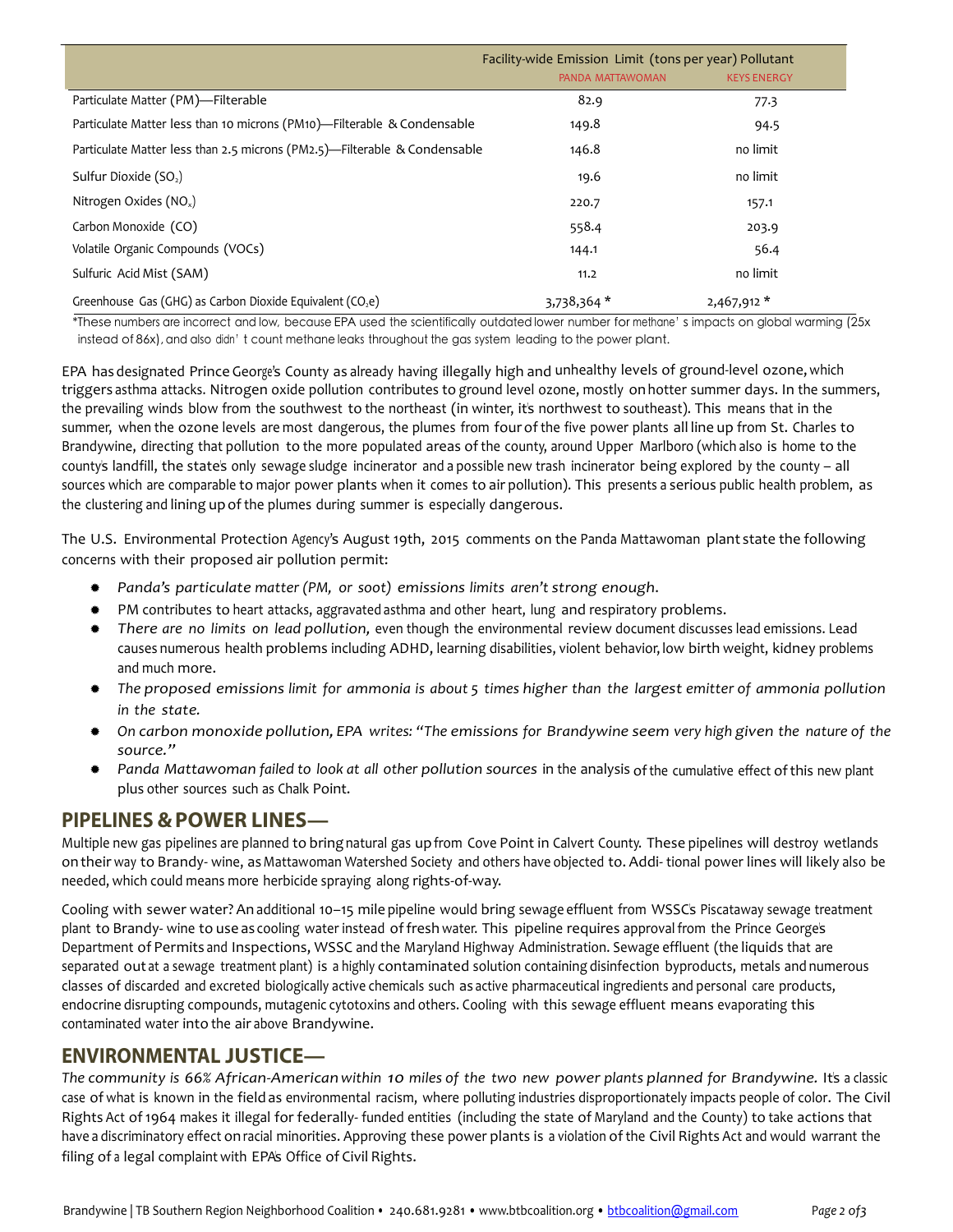|                                                                           | Facility-wide Emission Limit (tons per year) Pollutant |                    |  |
|---------------------------------------------------------------------------|--------------------------------------------------------|--------------------|--|
|                                                                           | PANDA MATTAWOMAN                                       | <b>KEYS ENERGY</b> |  |
| Particulate Matter (PM)-Filterable                                        | 82.9                                                   | 77.3               |  |
| Particulate Matter less than 10 microns (PM10)—Filterable & Condensable   | 149.8                                                  | 94.5               |  |
| Particulate Matter less than 2.5 microns (PM2.5)—Filterable & Condensable | 146.8                                                  | no limit           |  |
| Sulfur Dioxide (SO <sub>2</sub> )                                         | 19.6                                                   | no limit           |  |
| Nitrogen Oxides (NO <sub>x</sub> )                                        | 220.7                                                  | 157.1              |  |
| Carbon Monoxide (CO)                                                      | 558.4                                                  | 203.9              |  |
| Volatile Organic Compounds (VOCs)                                         | 144.1                                                  | 56.4               |  |
| Sulfuric Acid Mist (SAM)                                                  | 11.2                                                   | no limit           |  |
| Greenhouse Gas (GHG) as Carbon Dioxide Equivalent ( $CO2e$ )              | 3,738,364 *                                            | $2,467,912*$       |  |

\*These numbers are incorrect and low, because EPA used the scientifically outdated lower number for methane's impacts on global warming (25x instead of 86x), and also didn't count methane leaks throughout the gas system leading to the power plant.

EPA has designated Prince George's County as already having illegally high and unhealthy levels of ground-level ozone, which triggers asthma attacks. Nitrogen oxide pollution contributes to ground level ozone, mostly on hotter summer days. In the summers, the prevailing winds blow from the southwest to the northeast (in winter, it's northwest to southeast). This means that in the summer, when the ozone levels are most dangerous, the plumes from four of the five power plants all line up from St. Charles to Brandywine, directing that pollution to the more populated areas of the county, around Upper Marlboro (which also is home to the county's landfill, the state's only sewage sludge incinerator and a possible new trash incinerator being explored by the county – all sources which are comparable to major power plants when it comes to air pollution). This presents a serious public health problem, as the clustering and lining up of the plumes during summer is especially dangerous.

The U.S. Environmental Protection Agency's August 19th, 2015 comments on the Panda Mattawoman plant state the following concerns with their proposed air pollution permit:

- *Panda's particulate matter (PM, or soot) emissions limits aren't strong enough*.
- \* PM contributes to heart attacks, aggravated asthma and other heart, lung and respiratory problems.
- *There are no limits on lead pollution,* even though the environmental review\*document discusses lead emissions. Lead causes numerous health problems including ADHD, learning disabilities, violent behavior, low birth weight, kidney problems and much more.
- The proposed emissions limit for ammonia is about 5 times higher than the largest emitter of ammonia pollution *in the state.*
- \* On carbon monoxide pollution, EPA writes: "The emissions for Brandywine seem very high given the nature of the *source."*
- \* Panda Mattawoman failed to look at all other pollution sources in the analysis of the cumulative effect of this new plant plus other sources such as Chalk Point.

#### **PIPELINES &POWER LINES—**

Multiple new gas pipelines are planned to bring natural gas upfrom Cove Point in Calvert County. These pipelines will destroy wetlands on their way to Brandy- wine, as Mattawoman Watershed Society and others have objected to. Addi-tional power lines will likely also be needed, which could means more herbicide spraying along rights-of-way.

Cooling with sewer water? An additional 10-15 mile pipeline would bring sewage effluent from WSSC's Piscataway sewage treatment plant to Brandy- wine to use as cooling water instead of fresh water. This pipeline requires approval from the Prince George's Department of Permits and Inspections, WSSC and the Maryland Highway Administration. Sewage effluent (the liquids that are separated out at a sewage treatment plant) is a highly contaminated solution containing disinfection byproducts, metals and numerous classes of discarded and excreted biologically active chemicals such as active pharmaceutical ingredients and personal care products, endocrine disrupting compounds, mutagenic cytotoxins and others. Cooling with this sewage effluent means evaporating this contaminated water into the air above Brandywine.

#### **ENVIRONMENTAL JUSTICE—**

*The community is* 66% African-American within 10 miles of the two new power plants planned for Brandywine. It's a classic case of what is known in the field as environmental racism, where polluting industries disproportionately impacts people of color. The Civil Rights Act of 1964 makes it illegal for federally-funded entities (including the state of Maryland and the County) to take actions that have a discriminatory effect on racial minorities. Approving these power plants is a violation of the Civil Rights Act and would warrant the filing of a legal complaint with EPA's Office of Civil Rights.